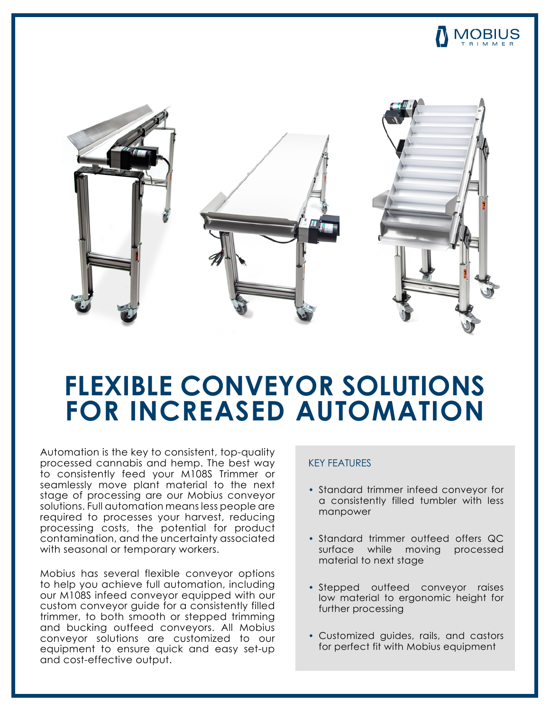



## **FLEXIBLE CONVEYOR SOLUTIONS FOR INCREASED AUTOMATION**

Automation is the key to consistent, top-quality processed cannabis and hemp. The best way to consistently feed your M108S Trimmer or seamlessly move plant material to the next stage of processing are our Mobius conveyor solutions. Full automation means less people are required to processes your harvest, reducing processing costs, the potential for product contamination, and the uncertainty associated with seasonal or temporary workers.

Mobius has several flexible conveyor options to help you achieve full automation, including our M108S infeed conveyor equipped with our custom conveyor guide for a consistently filled trimmer, to both smooth or stepped trimming and bucking outfeed conveyors. All Mobius conveyor solutions are customized to our equipment to ensure quick and easy set-up and cost-effective output.

## KEY FEATURES

- Standard trimmer infeed conveyor for a consistently filled tumbler with less manpower
- Standard trimmer outfeed offers QC surface while moving processed material to next stage
- Stepped outfeed conveyor raises low material to ergonomic height for further processing
- Customized guides, rails, and castors for perfect fit with Mobius equipment